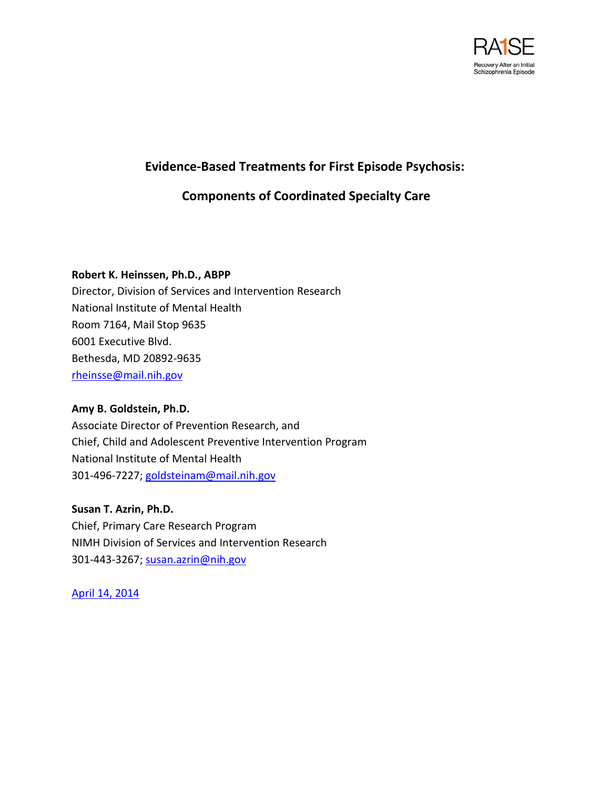

## **Evidence-Based Treatments for First Episode Psychosis:**

# **Components of Coordinated Specialty Care**

## **Robert K. Heinssen, Ph.D., ABPP**

Director, Division of Services and Intervention Research National Institute of Mental Health Room 7164, Mail Stop 9635 6001 Executive Blvd. Bethesda, MD 20892-9635 [rheinsse@mail.nih.gov](mailto:rheinsse@mail.nih.gov)

### **Amy B. Goldstein, Ph.D.**

Associate Director of Prevention Research, and Chief, Child and Adolescent Preventive Intervention Program National Institute of Mental Health 301-496-7227; [goldsteinam@mail.nih.gov](mailto:goldsteinam@mail.nih.gov)

**Susan T. Azrin, Ph.D.**  Chief, Primary Care Research Program NIMH Division of Services and Intervention Research 301-443-3267; [susan.azrin@nih.gov](mailto:susan.azrin@nih.gov)

April 14, 2014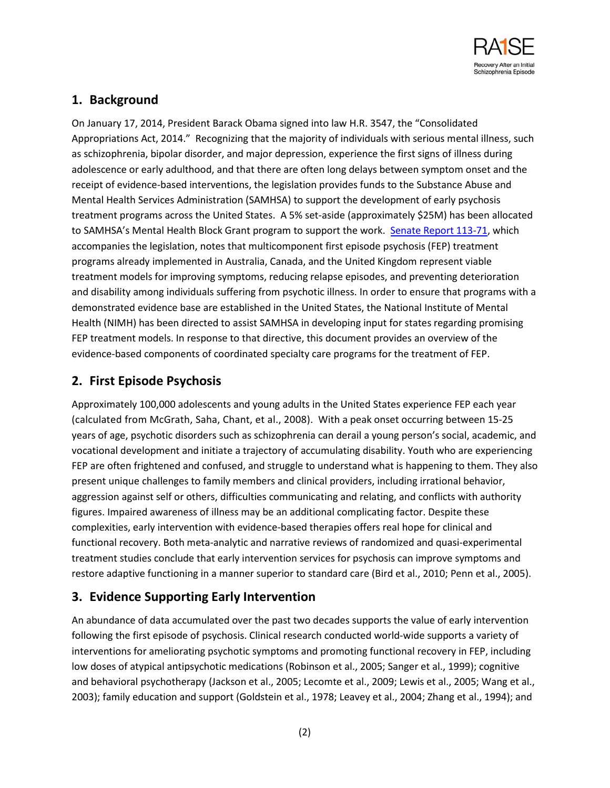

# **1. Background**

On January 17, 2014, President Barack Obama signed into law H.R. 3547, the "Consolidated Appropriations Act, 2014." Recognizing that the majority of individuals with serious mental illness, such as schizophrenia, bipolar disorder, and major depression, experience the first signs of illness during adolescence or early adulthood, and that there are often long delays between symptom onset and the receipt of evidence-based interventions, the legislation provides funds to the Substance Abuse and Mental Health Services Administration (SAMHSA) to support the development of early psychosis treatment programs across the United States. A 5% set-aside (approximately \$25M) has been allocated to SAMHSA's Mental Health Block Grant program to support the work. [Senate Report 113-71,](http://www.gpo.gov/fdsys/pkg/CRPT-113srpt71/pdf/CRPT-113srpt71.pdf) which accompanies the legislation, notes that multicomponent first episode psychosis (FEP) treatment programs already implemented in Australia, Canada, and the United Kingdom represent viable treatment models for improving symptoms, reducing relapse episodes, and preventing deterioration and disability among individuals suffering from psychotic illness. In order to ensure that programs with a demonstrated evidence base are established in the United States, the National Institute of Mental Health (NIMH) has been directed to assist SAMHSA in developing input for states regarding promising FEP treatment models. In response to that directive, this document provides an overview of the evidence-based components of coordinated specialty care programs for the treatment of FEP.

# **2. First Episode Psychosis**

Approximately 100,000 adolescents and young adults in the United States experience FEP each year (calculated from McGrath, Saha, Chant, et al., 2008). With a peak onset occurring between 15-25 years of age, psychotic disorders such as schizophrenia can derail a young person's social, academic, and vocational development and initiate a trajectory of accumulating disability. Youth who are experiencing FEP are often frightened and confused, and struggle to understand what is happening to them. They also present unique challenges to family members and clinical providers, including irrational behavior, aggression against self or others, difficulties communicating and relating, and conflicts with authority figures. Impaired awareness of illness may be an additional complicating factor. Despite these complexities, early intervention with evidence-based therapies offers real hope for clinical and functional recovery. Both meta-analytic and narrative reviews of randomized and quasi-experimental treatment studies conclude that early intervention services for psychosis can improve symptoms and restore adaptive functioning in a manner superior to standard care (Bird et al., 2010; Penn et al., 2005).

## **3. Evidence Supporting Early Intervention**

An abundance of data accumulated over the past two decades supports the value of early intervention following the first episode of psychosis. Clinical research conducted world-wide supports a variety of interventions for ameliorating psychotic symptoms and promoting functional recovery in FEP, including low doses of atypical antipsychotic medications (Robinson et al., 2005; Sanger et al., 1999); cognitive and behavioral psychotherapy (Jackson et al., 2005; Lecomte et al., 2009; Lewis et al., 2005; Wang et al., 2003); family education and support (Goldstein et al., 1978; Leavey et al., 2004; Zhang et al., 1994); and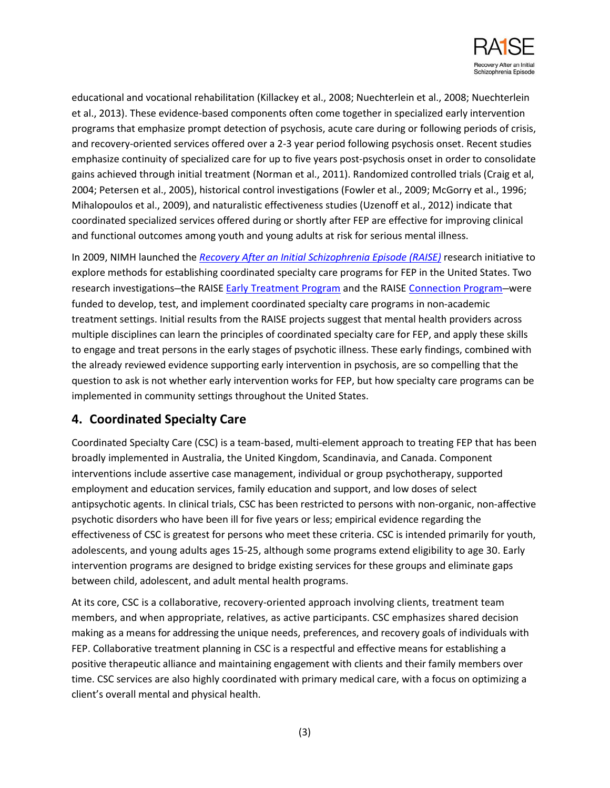

educational and vocational rehabilitation (Killackey et al., 2008; Nuechterlein et al., 2008; Nuechterlein et al., 2013). These evidence-based components often come together in specialized early intervention programs that emphasize prompt detection of psychosis, acute care during or following periods of crisis, and recovery-oriented services offered over a 2-3 year period following psychosis onset. Recent studies emphasize continuity of specialized care for up to five years post-psychosis onset in order to consolidate gains achieved through initial treatment (Norman et al., 2011). Randomized controlled trials (Craig et al, 2004; Petersen et al., 2005), historical control investigations (Fowler et al., 2009; McGorry et al., 1996; Mihalopoulos et al., 2009), and naturalistic effectiveness studies (Uzenoff et al., 2012) indicate that coordinated specialized services offered during or shortly after FEP are effective for improving clinical and functional outcomes among youth and young adults at risk for serious mental illness.

In 2009, NIMH launched the *[Recovery After an Initial Schizophrenia Episode \(RAISE\)](http://www.nimh.nih.gov/health/topics/schizophrenia/raise/index.shtml)* research initiative to explore methods for establishing coordinated specialty care programs for FEP in the United States. Two research investigations—the RAISE [Early Treatment Program](https://raiseetp.org/) and the RAISE [Connection Program](http://www.connectionprogram.org/)—were funded to develop, test, and implement coordinated specialty care programs in non-academic treatment settings. Initial results from the RAISE projects suggest that mental health providers across multiple disciplines can learn the principles of coordinated specialty care for FEP, and apply these skills to engage and treat persons in the early stages of psychotic illness. These early findings, combined with the already reviewed evidence supporting early intervention in psychosis, are so compelling that the question to ask is not whether early intervention works for FEP, but how specialty care programs can be implemented in community settings throughout the United States.

## **4. Coordinated Specialty Care**

Coordinated Specialty Care (CSC) is a team-based, multi-element approach to treating FEP that has been broadly implemented in Australia, the United Kingdom, Scandinavia, and Canada. Component interventions include assertive case management, individual or group psychotherapy, supported employment and education services, family education and support, and low doses of select antipsychotic agents. In clinical trials, CSC has been restricted to persons with non-organic, non-affective psychotic disorders who have been ill for five years or less; empirical evidence regarding the effectiveness of CSC is greatest for persons who meet these criteria. CSC is intended primarily for youth, adolescents, and young adults ages 15-25, although some programs extend eligibility to age 30. Early intervention programs are designed to bridge existing services for these groups and eliminate gaps between child, adolescent, and adult mental health programs.

At its core, CSC is a collaborative, recovery-oriented approach involving clients, treatment team members, and when appropriate, relatives, as active participants. CSC emphasizes shared decision making as a means for addressing the unique needs, preferences, and recovery goals of individuals with FEP. Collaborative treatment planning in CSC is a respectful and effective means for establishing a positive therapeutic alliance and maintaining engagement with clients and their family members over time. CSC services are also highly coordinated with primary medical care, with a focus on optimizing a client's overall mental and physical health.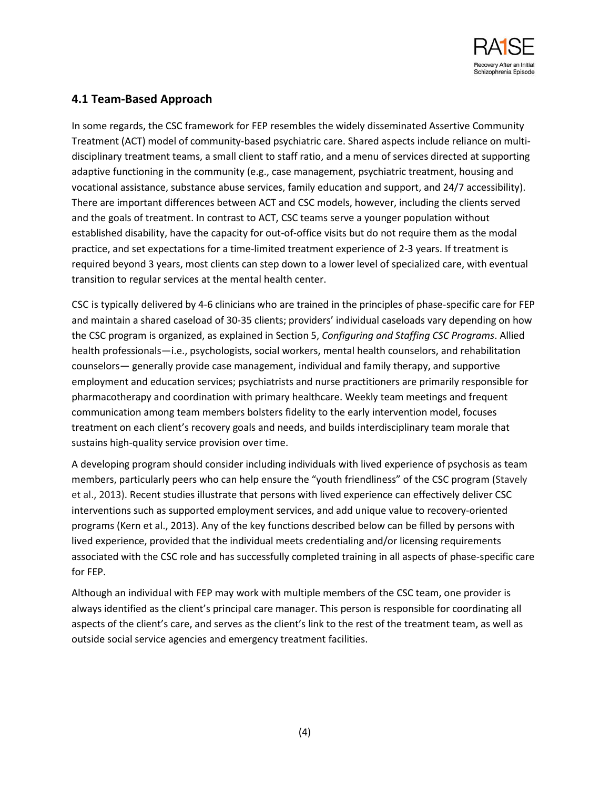

## **4.1 Team-Based Approach**

In some regards, the CSC framework for FEP resembles the widely disseminated Assertive Community Treatment (ACT) model of community-based psychiatric care. Shared aspects include reliance on multidisciplinary treatment teams, a small client to staff ratio, and a menu of services directed at supporting adaptive functioning in the community (e.g., case management, psychiatric treatment, housing and vocational assistance, substance abuse services, family education and support, and 24/7 accessibility). There are important differences between ACT and CSC models, however, including the clients served and the goals of treatment. In contrast to ACT, CSC teams serve a younger population without established disability, have the capacity for out-of-office visits but do not require them as the modal practice, and set expectations for a time-limited treatment experience of 2-3 years. If treatment is required beyond 3 years, most clients can step down to a lower level of specialized care, with eventual transition to regular services at the mental health center.

CSC is typically delivered by 4-6 clinicians who are trained in the principles of phase-specific care for FEP and maintain a shared caseload of 30-35 clients; providers' individual caseloads vary depending on how the CSC program is organized, as explained in Section 5, *Configuring and Staffing CSC Programs*. Allied health professionals—i.e., psychologists, social workers, mental health counselors, and rehabilitation counselors— generally provide case management, individual and family therapy, and supportive employment and education services; psychiatrists and nurse practitioners are primarily responsible for pharmacotherapy and coordination with primary healthcare. Weekly team meetings and frequent communication among team members bolsters fidelity to the early intervention model, focuses treatment on each client's recovery goals and needs, and builds interdisciplinary team morale that sustains high-quality service provision over time.

A developing program should consider including individuals with lived experience of psychosis as team members, particularly peers who can help ensure the "youth friendliness" of the CSC program (Stavely et al., 2013). Recent studies illustrate that persons with lived experience can effectively deliver CSC interventions such as supported employment services, and add unique value to recovery-oriented programs (Kern et al., 2013). Any of the key functions described below can be filled by persons with lived experience, provided that the individual meets credentialing and/or licensing requirements associated with the CSC role and has successfully completed training in all aspects of phase-specific care for FEP.

Although an individual with FEP may work with multiple members of the CSC team, one provider is always identified as the client's principal care manager. This person is responsible for coordinating all aspects of the client's care, and serves as the client's link to the rest of the treatment team, as well as outside social service agencies and emergency treatment facilities.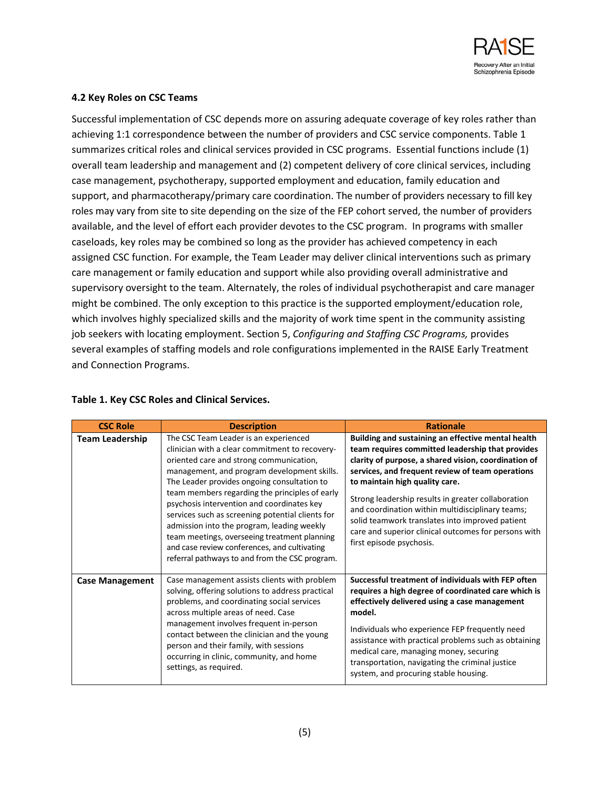

#### **4.2 Key Roles on CSC Teams**

Successful implementation of CSC depends more on assuring adequate coverage of key roles rather than achieving 1:1 correspondence between the number of providers and CSC service components. Table 1 summarizes critical roles and clinical services provided in CSC programs. Essential functions include (1) overall team leadership and management and (2) competent delivery of core clinical services, including case management, psychotherapy, supported employment and education, family education and support, and pharmacotherapy/primary care coordination. The number of providers necessary to fill key roles may vary from site to site depending on the size of the FEP cohort served, the number of providers available, and the level of effort each provider devotes to the CSC program. In programs with smaller caseloads, key roles may be combined so long as the provider has achieved competency in each assigned CSC function. For example, the Team Leader may deliver clinical interventions such as primary care management or family education and support while also providing overall administrative and supervisory oversight to the team. Alternately, the roles of individual psychotherapist and care manager might be combined. The only exception to this practice is the supported employment/education role, which involves highly specialized skills and the majority of work time spent in the community assisting job seekers with locating employment. Section 5, *Configuring and Staffing CSC Programs,* provides several examples of staffing models and role configurations implemented in the RAISE Early Treatment and Connection Programs.

| <b>CSC Role</b>        | <b>Description</b>                                                                                                                                                                                                                                                                                                                                                                                                                                                                                                                                                                   | <b>Rationale</b>                                                                                                                                                                                                                                                                                                                                                                                                                                                                                      |
|------------------------|--------------------------------------------------------------------------------------------------------------------------------------------------------------------------------------------------------------------------------------------------------------------------------------------------------------------------------------------------------------------------------------------------------------------------------------------------------------------------------------------------------------------------------------------------------------------------------------|-------------------------------------------------------------------------------------------------------------------------------------------------------------------------------------------------------------------------------------------------------------------------------------------------------------------------------------------------------------------------------------------------------------------------------------------------------------------------------------------------------|
| <b>Team Leadership</b> | The CSC Team Leader is an experienced<br>clinician with a clear commitment to recovery-<br>oriented care and strong communication,<br>management, and program development skills.<br>The Leader provides ongoing consultation to<br>team members regarding the principles of early<br>psychosis intervention and coordinates key<br>services such as screening potential clients for<br>admission into the program, leading weekly<br>team meetings, overseeing treatment planning<br>and case review conferences, and cultivating<br>referral pathways to and from the CSC program. | Building and sustaining an effective mental health<br>team requires committed leadership that provides<br>clarity of purpose, a shared vision, coordination of<br>services, and frequent review of team operations<br>to maintain high quality care.<br>Strong leadership results in greater collaboration<br>and coordination within multidisciplinary teams;<br>solid teamwork translates into improved patient<br>care and superior clinical outcomes for persons with<br>first episode psychosis. |
| <b>Case Management</b> | Case management assists clients with problem<br>solving, offering solutions to address practical<br>problems, and coordinating social services<br>across multiple areas of need. Case<br>management involves frequent in-person<br>contact between the clinician and the young<br>person and their family, with sessions<br>occurring in clinic, community, and home<br>settings, as required.                                                                                                                                                                                       | Successful treatment of individuals with FEP often<br>requires a high degree of coordinated care which is<br>effectively delivered using a case management<br>model.<br>Individuals who experience FEP frequently need<br>assistance with practical problems such as obtaining<br>medical care, managing money, securing<br>transportation, navigating the criminal justice<br>system, and procuring stable housing.                                                                                  |

#### **Table 1. Key CSC Roles and Clinical Services.**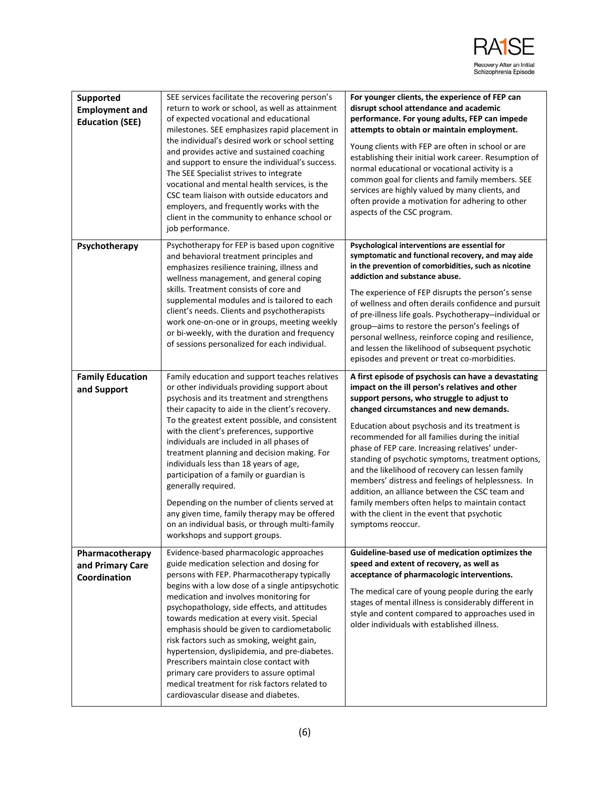

| Supported<br><b>Employment and</b><br><b>Education (SEE)</b> | SEE services facilitate the recovering person's<br>return to work or school, as well as attainment<br>of expected vocational and educational<br>milestones. SEE emphasizes rapid placement in<br>the individual's desired work or school setting<br>and provides active and sustained coaching<br>and support to ensure the individual's success.<br>The SEE Specialist strives to integrate<br>vocational and mental health services, is the<br>CSC team liaison with outside educators and<br>employers, and frequently works with the<br>client in the community to enhance school or<br>job performance.                                                                                    | For younger clients, the experience of FEP can<br>disrupt school attendance and academic<br>performance. For young adults, FEP can impede<br>attempts to obtain or maintain employment.<br>Young clients with FEP are often in school or are<br>establishing their initial work career. Resumption of<br>normal educational or vocational activity is a<br>common goal for clients and family members. SEE<br>services are highly valued by many clients, and<br>often provide a motivation for adhering to other<br>aspects of the CSC program.                                                                                                                                              |
|--------------------------------------------------------------|-------------------------------------------------------------------------------------------------------------------------------------------------------------------------------------------------------------------------------------------------------------------------------------------------------------------------------------------------------------------------------------------------------------------------------------------------------------------------------------------------------------------------------------------------------------------------------------------------------------------------------------------------------------------------------------------------|-----------------------------------------------------------------------------------------------------------------------------------------------------------------------------------------------------------------------------------------------------------------------------------------------------------------------------------------------------------------------------------------------------------------------------------------------------------------------------------------------------------------------------------------------------------------------------------------------------------------------------------------------------------------------------------------------|
| Psychotherapy                                                | Psychotherapy for FEP is based upon cognitive<br>and behavioral treatment principles and<br>emphasizes resilience training, illness and<br>wellness management, and general coping<br>skills. Treatment consists of core and<br>supplemental modules and is tailored to each<br>client's needs. Clients and psychotherapists<br>work one-on-one or in groups, meeting weekly<br>or bi-weekly, with the duration and frequency<br>of sessions personalized for each individual.                                                                                                                                                                                                                  | Psychological interventions are essential for<br>symptomatic and functional recovery, and may aide<br>in the prevention of comorbidities, such as nicotine<br>addiction and substance abuse.<br>The experience of FEP disrupts the person's sense<br>of wellness and often derails confidence and pursuit<br>of pre-illness life goals. Psychotherapy-individual or<br>group-aims to restore the person's feelings of<br>personal wellness, reinforce coping and resilience,<br>and lessen the likelihood of subsequent psychotic<br>episodes and prevent or treat co-morbidities.                                                                                                            |
| <b>Family Education</b><br>and Support                       | Family education and support teaches relatives<br>or other individuals providing support about<br>psychosis and its treatment and strengthens<br>their capacity to aide in the client's recovery.<br>To the greatest extent possible, and consistent<br>with the client's preferences, supportive<br>individuals are included in all phases of<br>treatment planning and decision making. For<br>individuals less than 18 years of age,<br>participation of a family or guardian is<br>generally required.<br>Depending on the number of clients served at<br>any given time, family therapy may be offered<br>on an individual basis, or through multi-family<br>workshops and support groups. | A first episode of psychosis can have a devastating<br>impact on the ill person's relatives and other<br>support persons, who struggle to adjust to<br>changed circumstances and new demands.<br>Education about psychosis and its treatment is<br>recommended for all families during the initial<br>phase of FEP care. Increasing relatives' under-<br>standing of psychotic symptoms, treatment options,<br>and the likelihood of recovery can lessen family<br>members' distress and feelings of helplessness. In<br>addition, an alliance between the CSC team and<br>family members often helps to maintain contact<br>with the client in the event that psychotic<br>symptoms reoccur. |
| Pharmacotherapy<br>and Primary Care<br>Coordination          | Evidence-based pharmacologic approaches<br>guide medication selection and dosing for<br>persons with FEP. Pharmacotherapy typically<br>begins with a low dose of a single antipsychotic<br>medication and involves monitoring for<br>psychopathology, side effects, and attitudes<br>towards medication at every visit. Special<br>emphasis should be given to cardiometabolic<br>risk factors such as smoking, weight gain,<br>hypertension, dyslipidemia, and pre-diabetes.<br>Prescribers maintain close contact with<br>primary care providers to assure optimal<br>medical treatment for risk factors related to<br>cardiovascular disease and diabetes.                                   | Guideline-based use of medication optimizes the<br>speed and extent of recovery, as well as<br>acceptance of pharmacologic interventions.<br>The medical care of young people during the early<br>stages of mental illness is considerably different in<br>style and content compared to approaches used in<br>older individuals with established illness.                                                                                                                                                                                                                                                                                                                                    |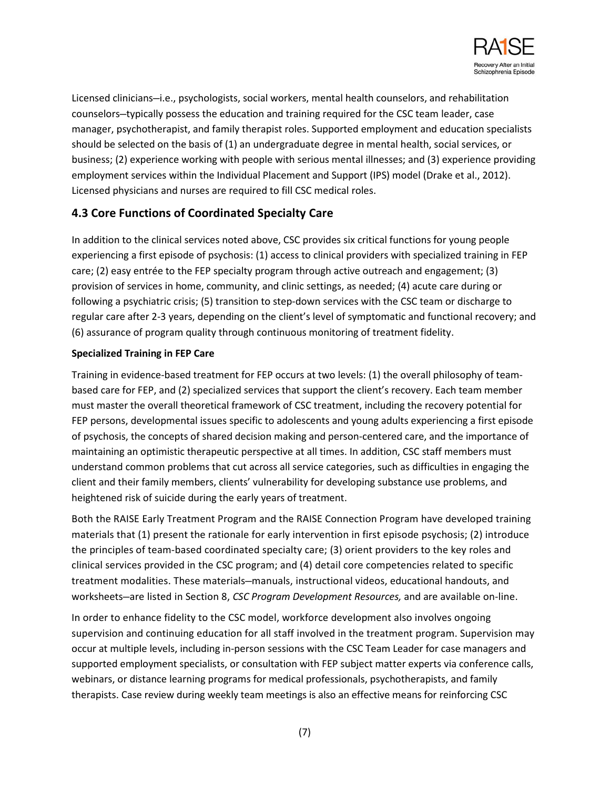

Licensed clinicians—i.e., psychologists, social workers, mental health counselors, and rehabilitation counselors—typically possess the education and training required for the CSC team leader, case manager, psychotherapist, and family therapist roles. Supported employment and education specialists should be selected on the basis of (1) an undergraduate degree in mental health, social services, or business; (2) experience working with people with serious mental illnesses; and (3) experience providing employment services within the Individual Placement and Support (IPS) model (Drake et al., 2012). Licensed physicians and nurses are required to fill CSC medical roles.

## **4.3 Core Functions of Coordinated Specialty Care**

In addition to the clinical services noted above, CSC provides six critical functions for young people experiencing a first episode of psychosis: (1) access to clinical providers with specialized training in FEP care; (2) easy entrée to the FEP specialty program through active outreach and engagement; (3) provision of services in home, community, and clinic settings, as needed; (4) acute care during or following a psychiatric crisis; (5) transition to step-down services with the CSC team or discharge to regular care after 2-3 years, depending on the client's level of symptomatic and functional recovery; and (6) assurance of program quality through continuous monitoring of treatment fidelity.

### **Specialized Training in FEP Care**

Training in evidence-based treatment for FEP occurs at two levels: (1) the overall philosophy of teambased care for FEP, and (2) specialized services that support the client's recovery. Each team member must master the overall theoretical framework of CSC treatment, including the recovery potential for FEP persons, developmental issues specific to adolescents and young adults experiencing a first episode of psychosis, the concepts of shared decision making and person-centered care, and the importance of maintaining an optimistic therapeutic perspective at all times. In addition, CSC staff members must understand common problems that cut across all service categories, such as difficulties in engaging the client and their family members, clients' vulnerability for developing substance use problems, and heightened risk of suicide during the early years of treatment.

Both the RAISE Early Treatment Program and the RAISE Connection Program have developed training materials that (1) present the rationale for early intervention in first episode psychosis; (2) introduce the principles of team-based coordinated specialty care; (3) orient providers to the key roles and clinical services provided in the CSC program; and (4) detail core competencies related to specific treatment modalities. These materials—manuals, instructional videos, educational handouts, and worksheets—are listed in Section 8, *CSC Program Development Resources,* and are available on-line.

In order to enhance fidelity to the CSC model, workforce development also involves ongoing supervision and continuing education for all staff involved in the treatment program. Supervision may occur at multiple levels, including in-person sessions with the CSC Team Leader for case managers and supported employment specialists, or consultation with FEP subject matter experts via conference calls, webinars, or distance learning programs for medical professionals, psychotherapists, and family therapists. Case review during weekly team meetings is also an effective means for reinforcing CSC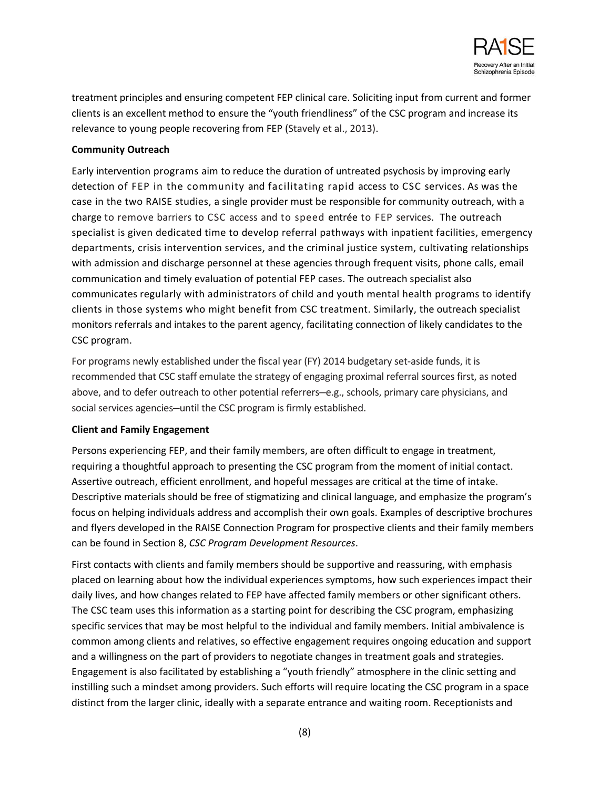

treatment principles and ensuring competent FEP clinical care. Soliciting input from current and former clients is an excellent method to ensure the "youth friendliness" of the CSC program and increase its relevance to young people recovering from FEP (Stavely et al., 2013).

### **Community Outreach**

Early intervention programs aim to reduce the duration of untreated psychosis by improving early detection of FEP in the community and facilitating rapid access to CSC services. As was the case in the two RAISE studies, a single provider must be responsible for community outreach, with a charge to remove barriers to CSC access and to speed entrée to FEP services. The outreach specialist is given dedicated time to develop referral pathways with inpatient facilities, emergency departments, crisis intervention services, and the criminal justice system, cultivating relationships with admission and discharge personnel at these agencies through frequent visits, phone calls, email communication and timely evaluation of potential FEP cases. The outreach specialist also communicates regularly with administrators of child and youth mental health programs to identify clients in those systems who might benefit from CSC treatment. Similarly, the outreach specialist monitors referrals and intakes to the parent agency, facilitating connection of likely candidates to the CSC program.

For programs newly established under the fiscal year (FY) 2014 budgetary set-aside funds, it is recommended that CSC staff emulate the strategy of engaging proximal referral sources first, as noted above, and to defer outreach to other potential referrers—e.g., schools, primary care physicians, and social services agencies—until the CSC program is firmly established.

#### **Client and Family Engagement**

Persons experiencing FEP, and their family members, are often difficult to engage in treatment, requiring a thoughtful approach to presenting the CSC program from the moment of initial contact. Assertive outreach, efficient enrollment, and hopeful messages are critical at the time of intake. Descriptive materials should be free of stigmatizing and clinical language, and emphasize the program's focus on helping individuals address and accomplish their own goals. Examples of descriptive brochures and flyers developed in the RAISE Connection Program for prospective clients and their family members can be found in Section 8, *CSC Program Development Resources*.

First contacts with clients and family members should be supportive and reassuring, with emphasis placed on learning about how the individual experiences symptoms, how such experiences impact their daily lives, and how changes related to FEP have affected family members or other significant others. The CSC team uses this information as a starting point for describing the CSC program, emphasizing specific services that may be most helpful to the individual and family members. Initial ambivalence is common among clients and relatives, so effective engagement requires ongoing education and support and a willingness on the part of providers to negotiate changes in treatment goals and strategies. Engagement is also facilitated by establishing a "youth friendly" atmosphere in the clinic setting and instilling such a mindset among providers. Such efforts will require locating the CSC program in a space distinct from the larger clinic, ideally with a separate entrance and waiting room. Receptionists and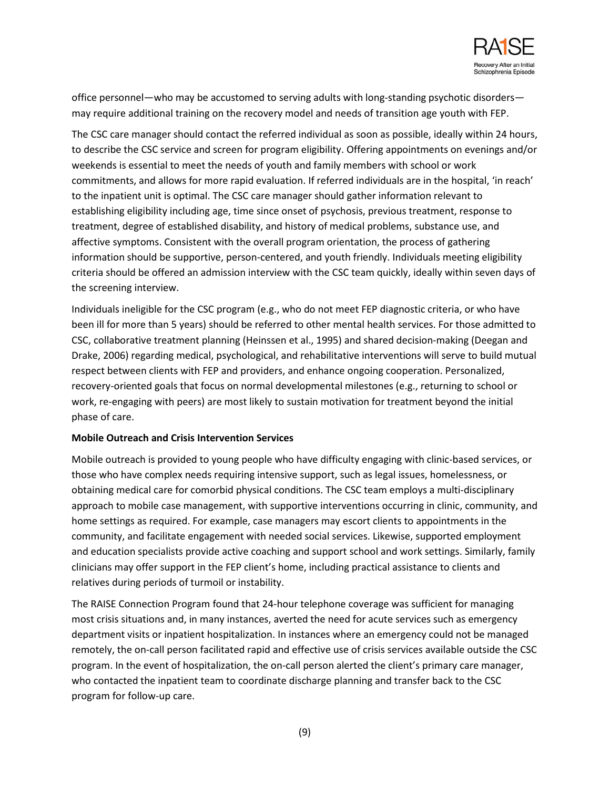

office personnel—who may be accustomed to serving adults with long-standing psychotic disorders may require additional training on the recovery model and needs of transition age youth with FEP.

The CSC care manager should contact the referred individual as soon as possible, ideally within 24 hours, to describe the CSC service and screen for program eligibility. Offering appointments on evenings and/or weekends is essential to meet the needs of youth and family members with school or work commitments, and allows for more rapid evaluation. If referred individuals are in the hospital, 'in reach' to the inpatient unit is optimal. The CSC care manager should gather information relevant to establishing eligibility including age, time since onset of psychosis, previous treatment, response to treatment, degree of established disability, and history of medical problems, substance use, and affective symptoms. Consistent with the overall program orientation, the process of gathering information should be supportive, person-centered, and youth friendly. Individuals meeting eligibility criteria should be offered an admission interview with the CSC team quickly, ideally within seven days of the screening interview.

Individuals ineligible for the CSC program (e.g., who do not meet FEP diagnostic criteria, or who have been ill for more than 5 years) should be referred to other mental health services. For those admitted to CSC, collaborative treatment planning (Heinssen et al., 1995) and shared decision-making (Deegan and Drake, 2006) regarding medical, psychological, and rehabilitative interventions will serve to build mutual respect between clients with FEP and providers, and enhance ongoing cooperation. Personalized, recovery-oriented goals that focus on normal developmental milestones (e.g., returning to school or work, re-engaging with peers) are most likely to sustain motivation for treatment beyond the initial phase of care.

#### **Mobile Outreach and Crisis Intervention Services**

Mobile outreach is provided to young people who have difficulty engaging with clinic-based services, or those who have complex needs requiring intensive support, such as legal issues, homelessness, or obtaining medical care for comorbid physical conditions. The CSC team employs a multi-disciplinary approach to mobile case management, with supportive interventions occurring in clinic, community, and home settings as required. For example, case managers may escort clients to appointments in the community, and facilitate engagement with needed social services. Likewise, supported employment and education specialists provide active coaching and support school and work settings. Similarly, family clinicians may offer support in the FEP client's home, including practical assistance to clients and relatives during periods of turmoil or instability.

The RAISE Connection Program found that 24-hour telephone coverage was sufficient for managing most crisis situations and, in many instances, averted the need for acute services such as emergency department visits or inpatient hospitalization. In instances where an emergency could not be managed remotely, the on-call person facilitated rapid and effective use of crisis services available outside the CSC program. In the event of hospitalization, the on-call person alerted the client's primary care manager, who contacted the inpatient team to coordinate discharge planning and transfer back to the CSC program for follow-up care.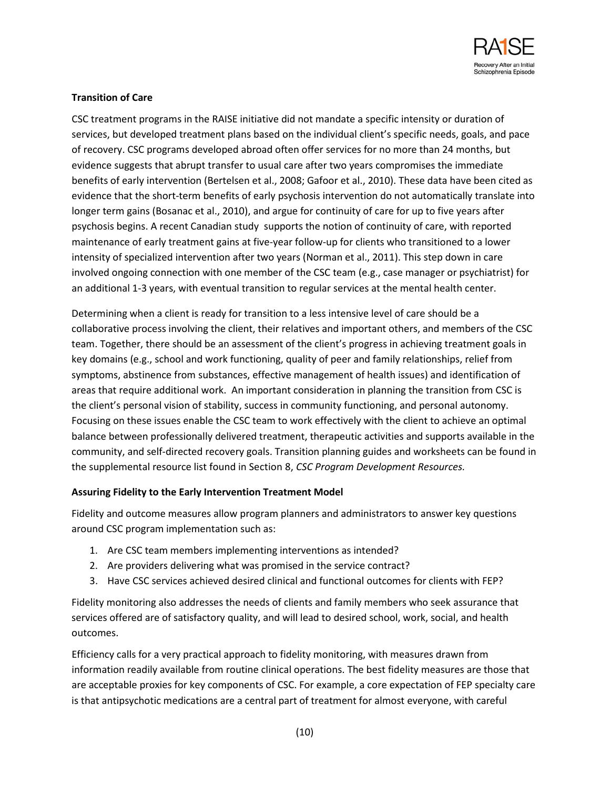

### **Transition of Care**

CSC treatment programs in the RAISE initiative did not mandate a specific intensity or duration of services, but developed treatment plans based on the individual client's specific needs, goals, and pace of recovery. CSC programs developed abroad often offer services for no more than 24 months, but evidence suggests that abrupt transfer to usual care after two years compromises the immediate benefits of early intervention (Bertelsen et al., 2008; Gafoor et al., 2010). These data have been cited as evidence that the short-term benefits of early psychosis intervention do not automatically translate into longer term gains (Bosanac et al., 2010), and argue for continuity of care for up to five years after psychosis begins. A recent Canadian study supports the notion of continuity of care, with reported maintenance of early treatment gains at five-year follow-up for clients who transitioned to a lower intensity of specialized intervention after two years (Norman et al., 2011). This step down in care involved ongoing connection with one member of the CSC team (e.g., case manager or psychiatrist) for an additional 1-3 years, with eventual transition to regular services at the mental health center.

Determining when a client is ready for transition to a less intensive level of care should be a collaborative process involving the client, their relatives and important others, and members of the CSC team. Together, there should be an assessment of the client's progress in achieving treatment goals in key domains (e.g., school and work functioning, quality of peer and family relationships, relief from symptoms, abstinence from substances, effective management of health issues) and identification of areas that require additional work. An important consideration in planning the transition from CSC is the client's personal vision of stability, success in community functioning, and personal autonomy. Focusing on these issues enable the CSC team to work effectively with the client to achieve an optimal balance between professionally delivered treatment, therapeutic activities and supports available in the community, and self-directed recovery goals. Transition planning guides and worksheets can be found in the supplemental resource list found in Section 8, *CSC Program Development Resources.*

#### **Assuring Fidelity to the Early Intervention Treatment Model**

Fidelity and outcome measures allow program planners and administrators to answer key questions around CSC program implementation such as:

- 1. Are CSC team members implementing interventions as intended?
- 2. Are providers delivering what was promised in the service contract?
- 3. Have CSC services achieved desired clinical and functional outcomes for clients with FEP?

Fidelity monitoring also addresses the needs of clients and family members who seek assurance that services offered are of satisfactory quality, and will lead to desired school, work, social, and health outcomes.

Efficiency calls for a very practical approach to fidelity monitoring, with measures drawn from information readily available from routine clinical operations. The best fidelity measures are those that are acceptable proxies for key components of CSC. For example, a core expectation of FEP specialty care is that antipsychotic medications are a central part of treatment for almost everyone, with careful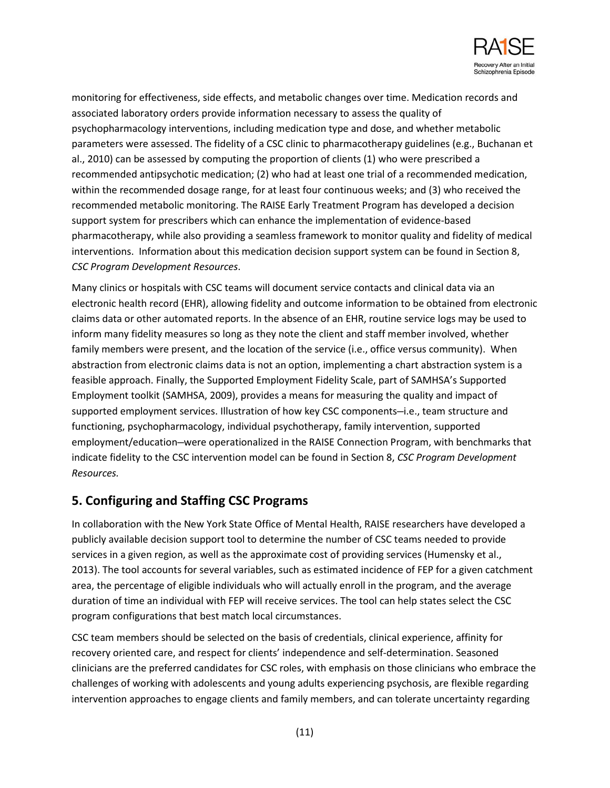

monitoring for effectiveness, side effects, and metabolic changes over time. Medication records and associated laboratory orders provide information necessary to assess the quality of psychopharmacology interventions, including medication type and dose, and whether metabolic parameters were assessed. The fidelity of a CSC clinic to pharmacotherapy guidelines (e.g., Buchanan et al., 2010) can be assessed by computing the proportion of clients (1) who were prescribed a recommended antipsychotic medication; (2) who had at least one trial of a recommended medication, within the recommended dosage range, for at least four continuous weeks; and (3) who received the recommended metabolic monitoring. The RAISE Early Treatment Program has developed a decision support system for prescribers which can enhance the implementation of evidence-based pharmacotherapy, while also providing a seamless framework to monitor quality and fidelity of medical interventions. Information about this medication decision support system can be found in Section 8, *CSC Program Development Resources*.

Many clinics or hospitals with CSC teams will document service contacts and clinical data via an electronic health record (EHR), allowing fidelity and outcome information to be obtained from electronic claims data or other automated reports. In the absence of an EHR, routine service logs may be used to inform many fidelity measures so long as they note the client and staff member involved, whether family members were present, and the location of the service (i.e., office versus community). When abstraction from electronic claims data is not an option, implementing a chart abstraction system is a feasible approach. Finally, the Supported Employment Fidelity Scale, part of SAMHSA's Supported Employment toolkit (SAMHSA, 2009), provides a means for measuring the quality and impact of supported employment services. Illustration of how key CSC components—i.e., team structure and functioning, psychopharmacology, individual psychotherapy, family intervention, supported employment/education—were operationalized in the RAISE Connection Program, with benchmarks that indicate fidelity to the CSC intervention model can be found in Section 8, *CSC Program Development Resources.*

## **5. Configuring and Staffing CSC Programs**

In collaboration with the New York State Office of Mental Health, RAISE researchers have developed a publicly available decision support tool to determine the number of CSC teams needed to provide services in a given region, as well as the approximate cost of providing services (Humensky et al., 2013). The tool accounts for several variables, such as estimated incidence of FEP for a given catchment area, the percentage of eligible individuals who will actually enroll in the program, and the average duration of time an individual with FEP will receive services. The tool can help states select the CSC program configurations that best match local circumstances.

CSC team members should be selected on the basis of credentials, clinical experience, affinity for recovery oriented care, and respect for clients' independence and self-determination. Seasoned clinicians are the preferred candidates for CSC roles, with emphasis on those clinicians who embrace the challenges of working with adolescents and young adults experiencing psychosis, are flexible regarding intervention approaches to engage clients and family members, and can tolerate uncertainty regarding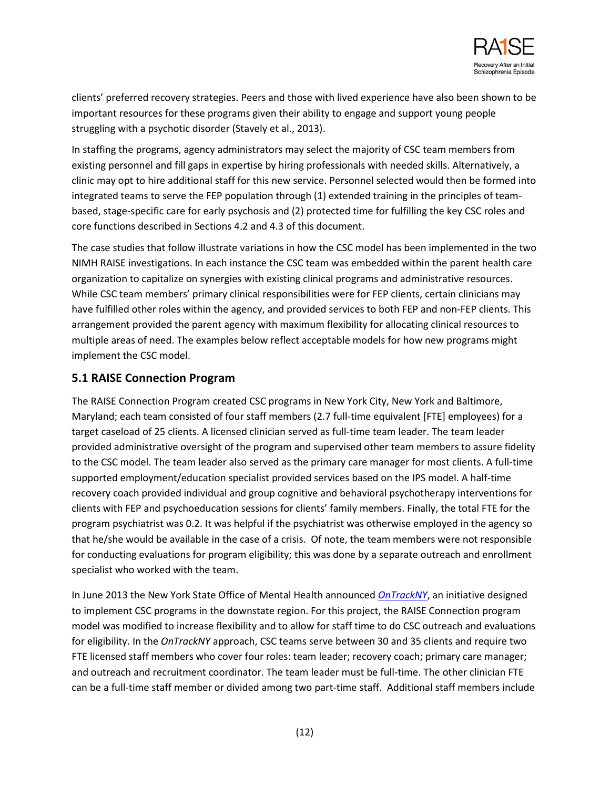

clients' preferred recovery strategies. Peers and those with lived experience have also been shown to be important resources for these programs given their ability to engage and support young people struggling with a psychotic disorder (Stavely et al., 2013).

In staffing the programs, agency administrators may select the majority of CSC team members from existing personnel and fill gaps in expertise by hiring professionals with needed skills. Alternatively, a clinic may opt to hire additional staff for this new service. Personnel selected would then be formed into integrated teams to serve the FEP population through (1) extended training in the principles of teambased, stage-specific care for early psychosis and (2) protected time for fulfilling the key CSC roles and core functions described in Sections 4.2 and 4.3 of this document.

The case studies that follow illustrate variations in how the CSC model has been implemented in the two NIMH RAISE investigations. In each instance the CSC team was embedded within the parent health care organization to capitalize on synergies with existing clinical programs and administrative resources. While CSC team members' primary clinical responsibilities were for FEP clients, certain clinicians may have fulfilled other roles within the agency, and provided services to both FEP and non-FEP clients. This arrangement provided the parent agency with maximum flexibility for allocating clinical resources to multiple areas of need. The examples below reflect acceptable models for how new programs might implement the CSC model.

## **5.1 RAISE Connection Program**

The RAISE Connection Program created CSC programs in New York City, New York and Baltimore, Maryland; each team consisted of four staff members (2.7 full-time equivalent [FTE] employees) for a target caseload of 25 clients. A licensed clinician served as full-time team leader. The team leader provided administrative oversight of the program and supervised other team members to assure fidelity to the CSC model. The team leader also served as the primary care manager for most clients. A full-time supported employment/education specialist provided services based on the IPS model. A half-time recovery coach provided individual and group cognitive and behavioral psychotherapy interventions for clients with FEP and psychoeducation sessions for clients' family members. Finally, the total FTE for the program psychiatrist was 0.2. It was helpful if the psychiatrist was otherwise employed in the agency so that he/she would be available in the case of a crisis. Of note, the team members were not responsible for conducting evaluations for program eligibility; this was done by a separate outreach and enrollment specialist who worked with the team.

In June 2013 the New York State Office of Mental Health announced *[OnTrackNY](http://www.omh.ny.gov/omhweb/press/ontrackny.html)*, an initiative designed to implement CSC programs in the downstate region. For this project, the RAISE Connection program model was modified to increase flexibility and to allow for staff time to do CSC outreach and evaluations for eligibility. In the *OnTrackNY* approach, CSC teams serve between 30 and 35 clients and require two FTE licensed staff members who cover four roles: team leader; recovery coach; primary care manager; and outreach and recruitment coordinator. The team leader must be full-time. The other clinician FTE can be a full-time staff member or divided among two part-time staff. Additional staff members include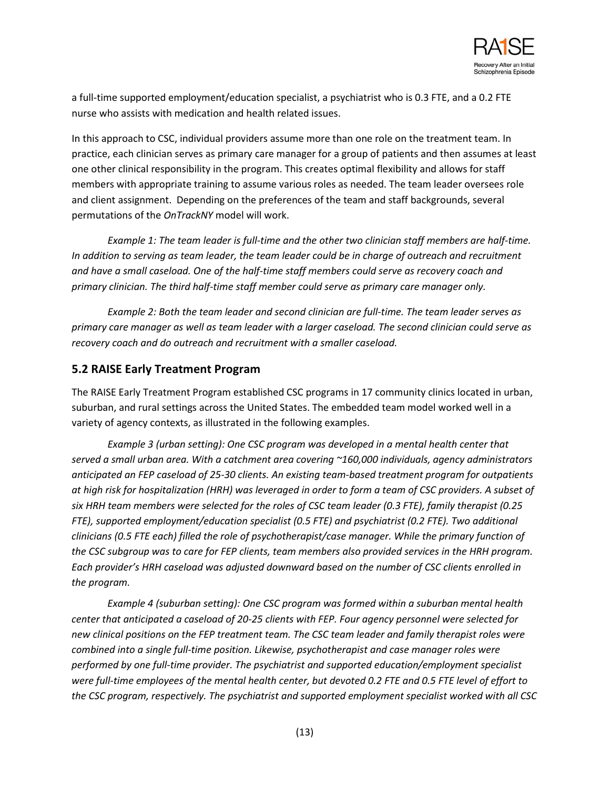

a full-time supported employment/education specialist, a psychiatrist who is 0.3 FTE, and a 0.2 FTE nurse who assists with medication and health related issues.

In this approach to CSC, individual providers assume more than one role on the treatment team. In practice, each clinician serves as primary care manager for a group of patients and then assumes at least one other clinical responsibility in the program. This creates optimal flexibility and allows for staff members with appropriate training to assume various roles as needed. The team leader oversees role and client assignment. Depending on the preferences of the team and staff backgrounds, several permutations of the *OnTrackNY* model will work.

*Example 1: The team leader is full-time and the other two clinician staff members are half-time. In addition to serving as team leader, the team leader could be in charge of outreach and recruitment and have a small caseload. One of the half-time staff members could serve as recovery coach and primary clinician. The third half-time staff member could serve as primary care manager only.* 

*Example 2: Both the team leader and second clinician are full-time. The team leader serves as primary care manager as well as team leader with a larger caseload. The second clinician could serve as recovery coach and do outreach and recruitment with a smaller caseload.*

### **5.2 RAISE Early Treatment Program**

The RAISE Early Treatment Program established CSC programs in 17 community clinics located in urban, suburban, and rural settings across the United States. The embedded team model worked well in a variety of agency contexts, as illustrated in the following examples.

*Example 3 (urban setting): One CSC program was developed in a mental health center that served a small urban area. With a catchment area covering ~160,000 individuals, agency administrators anticipated an FEP caseload of 25-30 clients. An existing team-based treatment program for outpatients at high risk for hospitalization (HRH) was leveraged in order to form a team of CSC providers. A subset of six HRH team members were selected for the roles of CSC team leader (0.3 FTE), family therapist (0.25 FTE), supported employment/education specialist (0.5 FTE) and psychiatrist (0.2 FTE). Two additional clinicians (0.5 FTE each) filled the role of psychotherapist/case manager. While the primary function of the CSC subgroup was to care for FEP clients, team members also provided services in the HRH program. Each provider's HRH caseload was adjusted downward based on the number of CSC clients enrolled in the program.*

*Example 4 (suburban setting): One CSC program was formed within a suburban mental health center that anticipated a caseload of 20-25 clients with FEP. Four agency personnel were selected for new clinical positions on the FEP treatment team. The CSC team leader and family therapist roles were combined into a single full-time position. Likewise, psychotherapist and case manager roles were performed by one full-time provider. The psychiatrist and supported education/employment specialist were full-time employees of the mental health center, but devoted 0.2 FTE and 0.5 FTE level of effort to the CSC program, respectively. The psychiatrist and supported employment specialist worked with all CSC*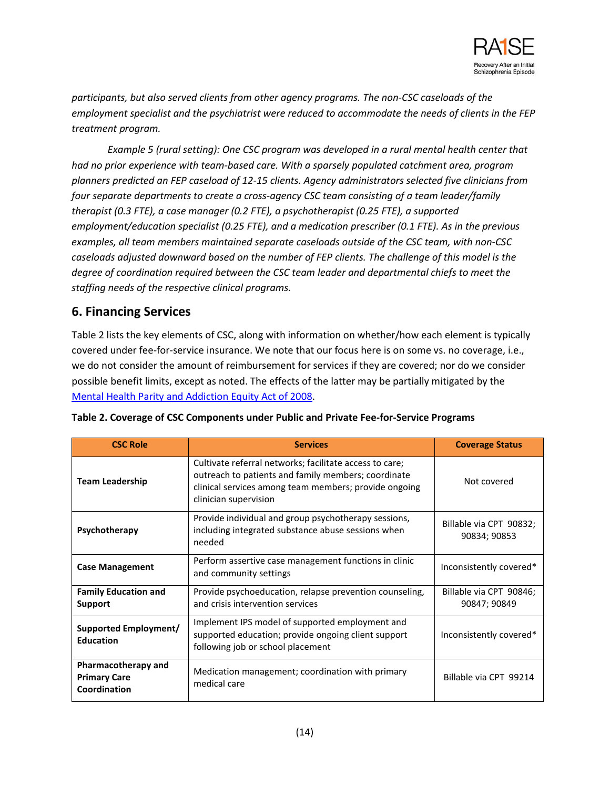

*participants, but also served clients from other agency programs. The non-CSC caseloads of the employment specialist and the psychiatrist were reduced to accommodate the needs of clients in the FEP treatment program.*

*Example 5 (rural setting): One CSC program was developed in a rural mental health center that had no prior experience with team-based care. With a sparsely populated catchment area, program planners predicted an FEP caseload of 12-15 clients. Agency administrators selected five clinicians from four separate departments to create a cross-agency CSC team consisting of a team leader/family therapist (0.3 FTE), a case manager (0.2 FTE), a psychotherapist (0.25 FTE), a supported employment/education specialist (0.25 FTE), and a medication prescriber (0.1 FTE). As in the previous examples, all team members maintained separate caseloads outside of the CSC team, with non-CSC caseloads adjusted downward based on the number of FEP clients. The challenge of this model is the degree of coordination required between the CSC team leader and departmental chiefs to meet the staffing needs of the respective clinical programs.* 

## **6. Financing Services**

Table 2 lists the key elements of CSC, along with information on whether/how each element is typically covered under fee-for-service insurance. We note that our focus here is on some vs. no coverage, i.e., we do not consider the amount of reimbursement for services if they are covered; nor do we consider possible benefit limits, except as noted. The effects of the latter may be partially mitigated by the [Mental Health Parity and Addiction Equity Act of 2008.](http://www.dol.gov/ebsa/mentalhealthparity/)

| <b>CSC Role</b>                                            | <b>Services</b>                                                                                                                                                                                  | <b>Coverage Status</b>                  |
|------------------------------------------------------------|--------------------------------------------------------------------------------------------------------------------------------------------------------------------------------------------------|-----------------------------------------|
| <b>Team Leadership</b>                                     | Cultivate referral networks; facilitate access to care;<br>outreach to patients and family members; coordinate<br>clinical services among team members; provide ongoing<br>clinician supervision | Not covered                             |
| Psychotherapy                                              | Provide individual and group psychotherapy sessions,<br>including integrated substance abuse sessions when<br>needed                                                                             | Billable via CPT 90832;<br>90834; 90853 |
| <b>Case Management</b>                                     | Perform assertive case management functions in clinic<br>and community settings                                                                                                                  | Inconsistently covered*                 |
| <b>Family Education and</b><br>Support                     | Provide psychoeducation, relapse prevention counseling,<br>and crisis intervention services                                                                                                      | Billable via CPT 90846;<br>90847; 90849 |
| <b>Supported Employment/</b><br><b>Education</b>           | Implement IPS model of supported employment and<br>supported education; provide ongoing client support<br>following job or school placement                                                      | Inconsistently covered*                 |
| Pharmacotherapy and<br><b>Primary Care</b><br>Coordination | Medication management; coordination with primary<br>medical care                                                                                                                                 | Billable via CPT 99214                  |

| Table 2. Coverage of CSC Components under Public and Private Fee-for-Service Programs |
|---------------------------------------------------------------------------------------|
|---------------------------------------------------------------------------------------|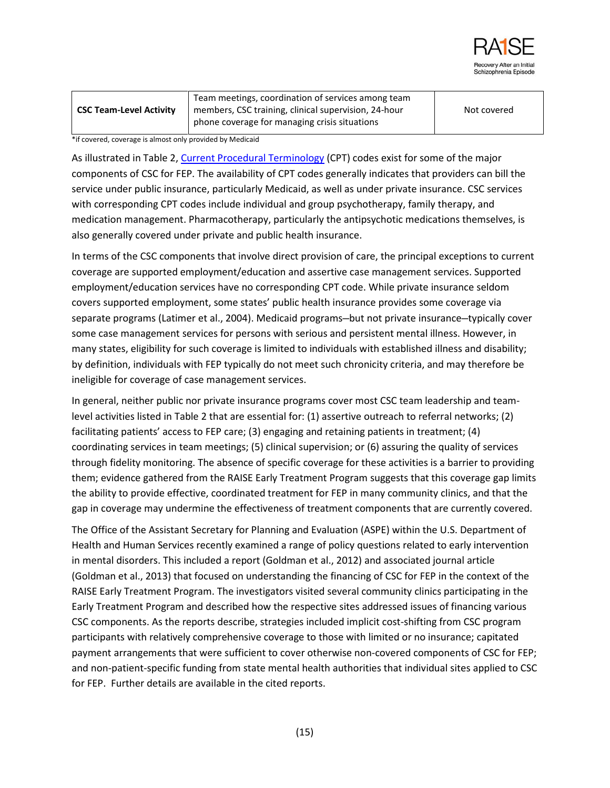

|                                | Team meetings, coordination of services among team   |             |
|--------------------------------|------------------------------------------------------|-------------|
| <b>CSC Team-Level Activity</b> | members, CSC training, clinical supervision, 24-hour | Not covered |
|                                | phone coverage for managing crisis situations        |             |

\*if covered, coverage is almost only provided by Medicaid

As illustrated in Table 2[, Current Procedural Terminology](http://www.ama-assn.org/ama/pub/physician-resources/solutions-managing-your-practice/coding-billing-insurance/cpt.page) (CPT) codes exist for some of the major components of CSC for FEP. The availability of CPT codes generally indicates that providers can bill the service under public insurance, particularly Medicaid, as well as under private insurance. CSC services with corresponding CPT codes include individual and group psychotherapy, family therapy, and medication management. Pharmacotherapy, particularly the antipsychotic medications themselves, is also generally covered under private and public health insurance.

In terms of the CSC components that involve direct provision of care, the principal exceptions to current coverage are supported employment/education and assertive case management services. Supported employment/education services have no corresponding CPT code. While private insurance seldom covers supported employment, some states' public health insurance provides some coverage via separate programs (Latimer et al., 2004). Medicaid programs—but not private insurance—typically cover some case management services for persons with serious and persistent mental illness. However, in many states, eligibility for such coverage is limited to individuals with established illness and disability; by definition, individuals with FEP typically do not meet such chronicity criteria, and may therefore be ineligible for coverage of case management services.

In general, neither public nor private insurance programs cover most CSC team leadership and teamlevel activities listed in Table 2 that are essential for: (1) assertive outreach to referral networks; (2) facilitating patients' access to FEP care; (3) engaging and retaining patients in treatment; (4) coordinating services in team meetings; (5) clinical supervision; or (6) assuring the quality of services through fidelity monitoring. The absence of specific coverage for these activities is a barrier to providing them; evidence gathered from the RAISE Early Treatment Program suggests that this coverage gap limits the ability to provide effective, coordinated treatment for FEP in many community clinics, and that the gap in coverage may undermine the effectiveness of treatment components that are currently covered.

The Office of the Assistant Secretary for Planning and Evaluation (ASPE) within the U.S. Department of Health and Human Services recently examined a range of policy questions related to early intervention in mental disorders. This included a report (Goldman et al., 2012) and associated journal article (Goldman et al., 2013) that focused on understanding the financing of CSC for FEP in the context of the RAISE Early Treatment Program. The investigators visited several community clinics participating in the Early Treatment Program and described how the respective sites addressed issues of financing various CSC components. As the reports describe, strategies included implicit cost-shifting from CSC program participants with relatively comprehensive coverage to those with limited or no insurance; capitated payment arrangements that were sufficient to cover otherwise non-covered components of CSC for FEP; and non-patient-specific funding from state mental health authorities that individual sites applied to CSC for FEP. Further details are available in the cited reports.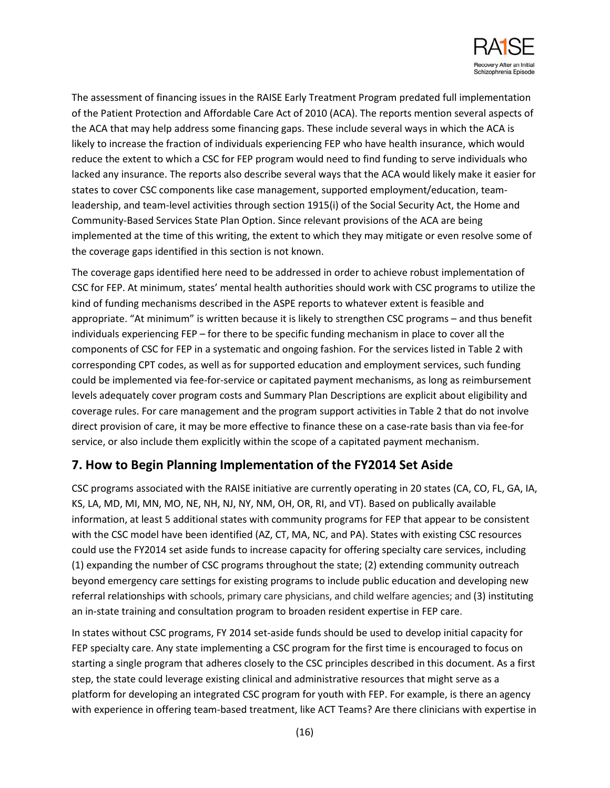

The assessment of financing issues in the RAISE Early Treatment Program predated full implementation of the Patient Protection and Affordable Care Act of 2010 (ACA). The reports mention several aspects of the ACA that may help address some financing gaps. These include several ways in which the ACA is likely to increase the fraction of individuals experiencing FEP who have health insurance, which would reduce the extent to which a CSC for FEP program would need to find funding to serve individuals who lacked any insurance. The reports also describe several ways that the ACA would likely make it easier for states to cover CSC components like case management, supported employment/education, teamleadership, and team-level activities through section 1915(i) of the Social Security Act, the Home and Community-Based Services State Plan Option. Since relevant provisions of the ACA are being implemented at the time of this writing, the extent to which they may mitigate or even resolve some of the coverage gaps identified in this section is not known.

The coverage gaps identified here need to be addressed in order to achieve robust implementation of CSC for FEP. At minimum, states' mental health authorities should work with CSC programs to utilize the kind of funding mechanisms described in the ASPE reports to whatever extent is feasible and appropriate. "At minimum" is written because it is likely to strengthen CSC programs – and thus benefit individuals experiencing FEP – for there to be specific funding mechanism in place to cover all the components of CSC for FEP in a systematic and ongoing fashion. For the services listed in Table 2 with corresponding CPT codes, as well as for supported education and employment services, such funding could be implemented via fee-for-service or capitated payment mechanisms, as long as reimbursement levels adequately cover program costs and Summary Plan Descriptions are explicit about eligibility and coverage rules. For care management and the program support activities in Table 2 that do not involve direct provision of care, it may be more effective to finance these on a case-rate basis than via fee-for service, or also include them explicitly within the scope of a capitated payment mechanism.

## **7. How to Begin Planning Implementation of the FY2014 Set Aside**

CSC programs associated with the RAISE initiative are currently operating in 20 states (CA, CO, FL, GA, IA, KS, LA, MD, MI, MN, MO, NE, NH, NJ, NY, NM, OH, OR, RI, and VT). Based on publically available information, at least 5 additional states with community programs for FEP that appear to be consistent with the CSC model have been identified (AZ, CT, MA, NC, and PA). States with existing CSC resources could use the FY2014 set aside funds to increase capacity for offering specialty care services, including (1) expanding the number of CSC programs throughout the state; (2) extending community outreach beyond emergency care settings for existing programs to include public education and developing new referral relationships with schools, primary care physicians, and child welfare agencies; and (3) instituting an in-state training and consultation program to broaden resident expertise in FEP care.

In states without CSC programs, FY 2014 set-aside funds should be used to develop initial capacity for FEP specialty care. Any state implementing a CSC program for the first time is encouraged to focus on starting a single program that adheres closely to the CSC principles described in this document. As a first step, the state could leverage existing clinical and administrative resources that might serve as a platform for developing an integrated CSC program for youth with FEP. For example, is there an agency with experience in offering team-based treatment, like ACT Teams? Are there clinicians with expertise in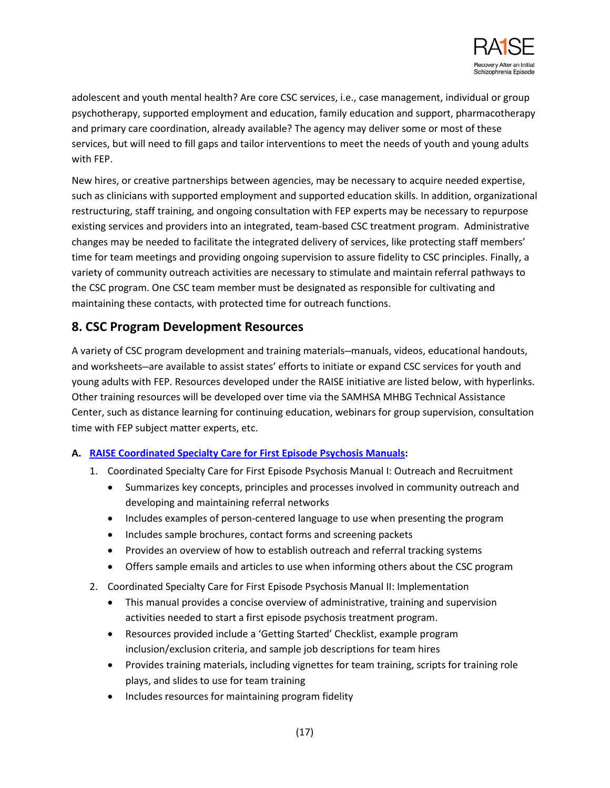

adolescent and youth mental health? Are core CSC services, i.e., case management, individual or group psychotherapy, supported employment and education, family education and support, pharmacotherapy and primary care coordination, already available? The agency may deliver some or most of these services, but will need to fill gaps and tailor interventions to meet the needs of youth and young adults with FEP.

New hires, or creative partnerships between agencies, may be necessary to acquire needed expertise, such as clinicians with supported employment and supported education skills. In addition, organizational restructuring, staff training, and ongoing consultation with FEP experts may be necessary to repurpose existing services and providers into an integrated, team-based CSC treatment program. Administrative changes may be needed to facilitate the integrated delivery of services, like protecting staff members' time for team meetings and providing ongoing supervision to assure fidelity to CSC principles. Finally, a variety of community outreach activities are necessary to stimulate and maintain referral pathways to the CSC program. One CSC team member must be designated as responsible for cultivating and maintaining these contacts, with protected time for outreach functions.

## **8. CSC Program Development Resources**

A variety of CSC program development and training materials—manuals, videos, educational handouts, and worksheets—are available to assist states' efforts to initiate or expand CSC services for youth and young adults with FEP. Resources developed under the RAISE initiative are listed below, with hyperlinks. Other training resources will be developed over time via the SAMHSA MHBG Technical Assistance Center, such as distance learning for continuing education, webinars for group supervision, consultation time with FEP subject matter experts, etc.

### **A. [RAISE Coordinated Specialty Care for First Episode Psychosis](http://www.nimh.nih.gov/health/topics/schizophrenia/raise/coordinated-specialty-care-for-first-episode-psychosis-resources.shtml) Manuals:**

- 1. Coordinated Specialty Care for First Episode Psychosis Manual I: Outreach and Recruitment
	- Summarizes key concepts, principles and processes involved in community outreach and developing and maintaining referral networks
	- Includes examples of person-centered language to use when presenting the program
	- Includes sample brochures, contact forms and screening packets
	- Provides an overview of how to establish outreach and referral tracking systems
	- Offers sample emails and articles to use when informing others about the CSC program
- 2. Coordinated Specialty Care for First Episode Psychosis Manual II: Implementation
	- This manual provides a concise overview of administrative, training and supervision activities needed to start a first episode psychosis treatment program.
	- Resources provided include a 'Getting Started' Checklist, example program inclusion/exclusion criteria, and sample job descriptions for team hires
	- Provides training materials, including vignettes for team training, scripts for training role plays, and slides to use for team training
	- Includes resources for maintaining program fidelity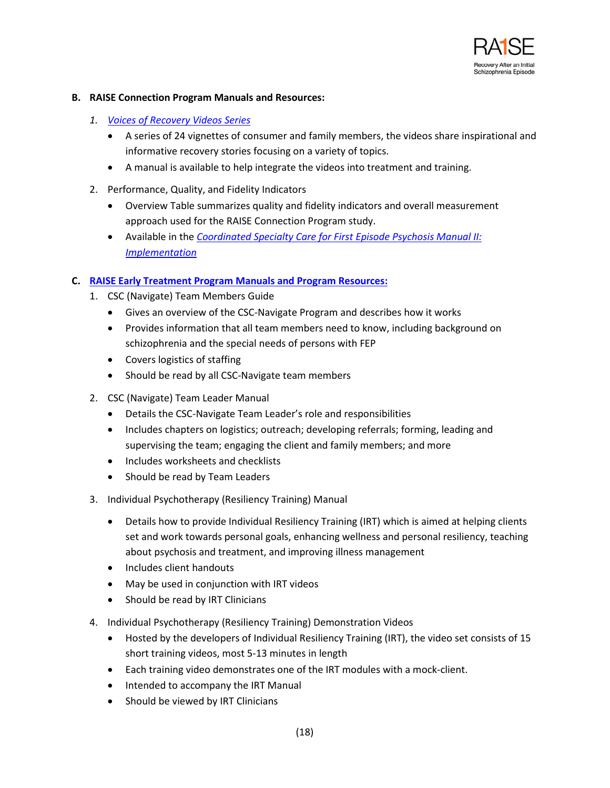

#### **B. RAISE Connection Program Manuals and Resources:**

- *1. [Voices of Recovery](http://practiceinnovations.org/ConsumersandFamilies/ViewAllContent/tabid/232/Default.aspx) Videos Series* 
	- A series of 24 vignettes of consumer and family members, the videos share inspirational and informative recovery stories focusing on a variety of topics.
	- A manual is available to help integrate the videos into treatment and training.
- 2. Performance, Quality, and Fidelity Indicators
	- Overview Table summarizes quality and fidelity indicators and overall measurement approach used for the RAISE Connection Program study.
	- Available in the *[Coordinated Specialty Care for First Episode Psychosis Manual II:](http://www.nimh.nih.gov/health/topics/schizophrenia/raise/coordinated-specialty-care-for-first-episode-psychosis-resources.shtml) [Implementation](http://www.nimh.nih.gov/health/topics/schizophrenia/raise/coordinated-specialty-care-for-first-episode-psychosis-resources.shtml)*

### **C. [RAISE Early Treatment Program Manuals and Program Resources:](https://raiseetp.org/)**

- 1. CSC (Navigate) Team Members Guide
	- Gives an overview of the CSC-Navigate Program and describes how it works
	- Provides information that all team members need to know, including background on schizophrenia and the special needs of persons with FEP
	- Covers logistics of staffing
	- Should be read by all CSC-Navigate team members
- 2. CSC (Navigate) Team Leader Manual
	- Details the CSC-Navigate Team Leader's role and responsibilities
	- Includes chapters on logistics; outreach; developing referrals; forming, leading and supervising the team; engaging the client and family members; and more
	- Includes worksheets and checklists
	- Should be read by Team Leaders
- 3. Individual Psychotherapy (Resiliency Training) Manual
	- Details how to provide Individual Resiliency Training (IRT) which is aimed at helping clients set and work towards personal goals, enhancing wellness and personal resiliency, teaching about psychosis and treatment, and improving illness management
	- Includes client handouts
	- May be used in conjunction with IRT videos
	- Should be read by IRT Clinicians
- 4. Individual Psychotherapy (Resiliency Training) Demonstration Videos
	- Hosted by the developers of Individual Resiliency Training (IRT), the video set consists of 15 short training videos, most 5-13 minutes in length
	- Each training video demonstrates one of the IRT modules with a mock-client.
	- Intended to accompany the IRT Manual
	- Should be viewed by IRT Clinicians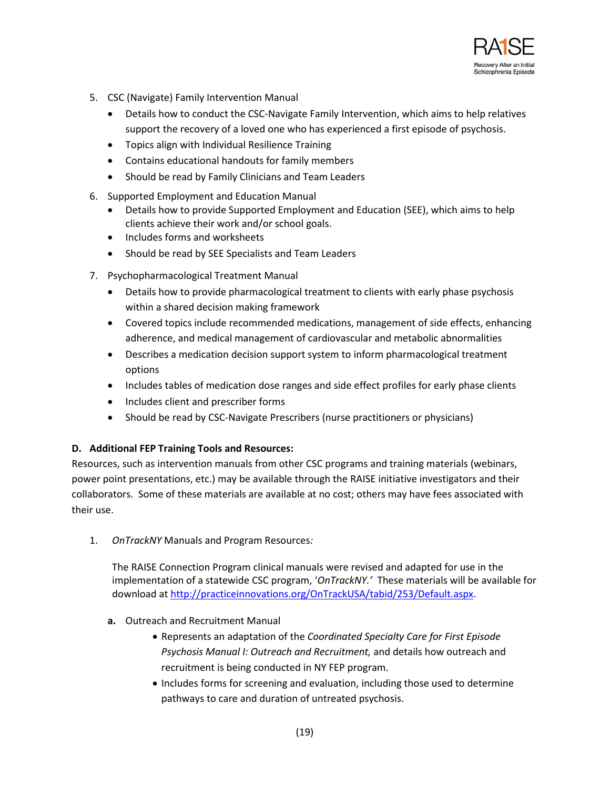

- 5. CSC (Navigate) Family Intervention Manual
	- Details how to conduct the CSC-Navigate Family Intervention, which aims to help relatives support the recovery of a loved one who has experienced a first episode of psychosis.
	- Topics align with Individual Resilience Training
	- Contains educational handouts for family members
	- Should be read by Family Clinicians and Team Leaders
- 6. Supported Employment and Education Manual
	- Details how to provide Supported Employment and Education (SEE), which aims to help clients achieve their work and/or school goals.
	- Includes forms and worksheets
	- Should be read by SEE Specialists and Team Leaders
- 7. Psychopharmacological Treatment Manual
	- Details how to provide pharmacological treatment to clients with early phase psychosis within a shared decision making framework
	- Covered topics include recommended medications, management of side effects, enhancing adherence, and medical management of cardiovascular and metabolic abnormalities
	- Describes a medication decision support system to inform pharmacological treatment options
	- Includes tables of medication dose ranges and side effect profiles for early phase clients
	- Includes client and prescriber forms
	- Should be read by CSC-Navigate Prescribers (nurse practitioners or physicians)

#### **D. Additional FEP Training Tools and Resources:**

Resources, such as intervention manuals from other CSC programs and training materials (webinars, power point presentations, etc.) may be available through the RAISE initiative investigators and their collaborators. Some of these materials are available at no cost; others may have fees associated with their use.

1. *OnTrackNY* Manuals and Program Resources*:* 

The RAISE Connection Program clinical manuals were revised and adapted for use in the implementation of a statewide CSC program, '*OnTrackNY.'* These materials will be available for download at [http://practiceinnovations.org/OnTrackUSA/tabid/253/Default.aspx.](http://practiceinnovations.org/OnTrackUSA/tabid/253/Default.aspx)

- **a.** Outreach and Recruitment Manual
	- Represents an adaptation of the *Coordinated Specialty Care for First Episode Psychosis Manual I: Outreach and Recruitment,* and details how outreach and recruitment is being conducted in NY FEP program.
	- Includes forms for screening and evaluation, including those used to determine pathways to care and duration of untreated psychosis.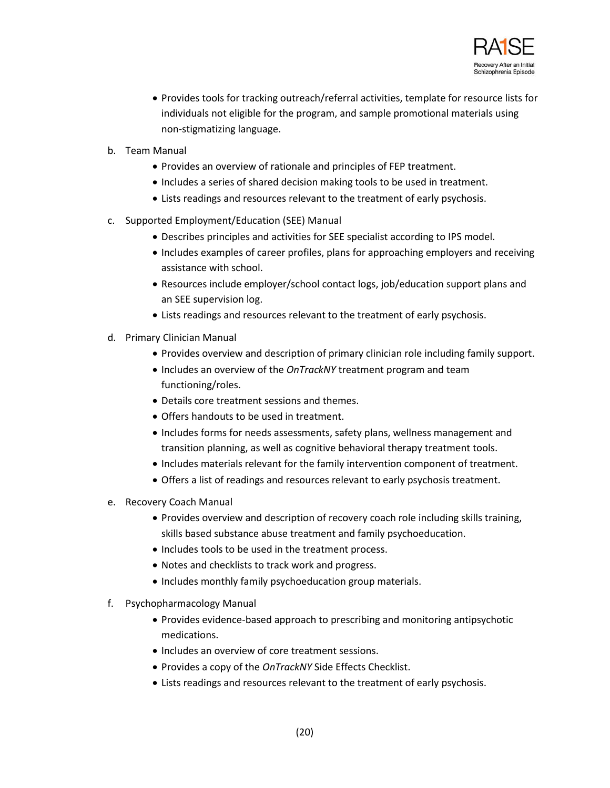

- Provides tools for tracking outreach/referral activities, template for resource lists for individuals not eligible for the program, and sample promotional materials using non-stigmatizing language.
- b. Team Manual
	- Provides an overview of rationale and principles of FEP treatment.
	- Includes a series of shared decision making tools to be used in treatment.
	- Lists readings and resources relevant to the treatment of early psychosis.
- c. Supported Employment/Education (SEE) Manual
	- Describes principles and activities for SEE specialist according to IPS model.
	- Includes examples of career profiles, plans for approaching employers and receiving assistance with school.
	- Resources include employer/school contact logs, job/education support plans and an SEE supervision log.
	- Lists readings and resources relevant to the treatment of early psychosis.
- d. Primary Clinician Manual
	- Provides overview and description of primary clinician role including family support.
	- Includes an overview of the *OnTrackNY* treatment program and team functioning/roles.
	- Details core treatment sessions and themes.
	- Offers handouts to be used in treatment.
	- Includes forms for needs assessments, safety plans, wellness management and transition planning, as well as cognitive behavioral therapy treatment tools.
	- Includes materials relevant for the family intervention component of treatment.
	- Offers a list of readings and resources relevant to early psychosis treatment.
- e. Recovery Coach Manual
	- Provides overview and description of recovery coach role including skills training, skills based substance abuse treatment and family psychoeducation.
	- Includes tools to be used in the treatment process.
	- Notes and checklists to track work and progress.
	- Includes monthly family psychoeducation group materials.
- f. Psychopharmacology Manual
	- Provides evidence-based approach to prescribing and monitoring antipsychotic medications.
	- Includes an overview of core treatment sessions.
	- Provides a copy of the *OnTrackNY* Side Effects Checklist.
	- Lists readings and resources relevant to the treatment of early psychosis.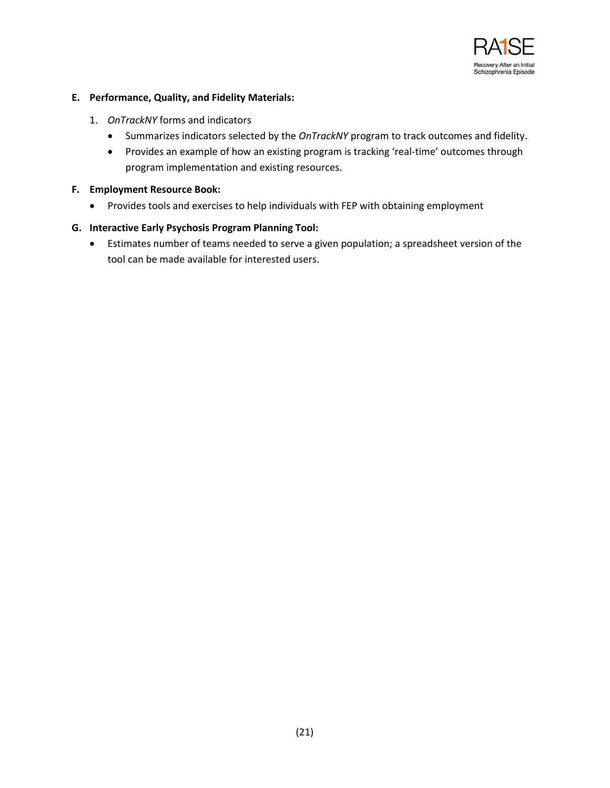

### **E. Performance, Quality, and Fidelity Materials:**

- 1. *OnTrackNY* forms and indicators
	- Summarizes indicators selected by the *OnTrackNY* program to track outcomes and fidelity.
	- Provides an example of how an existing program is tracking 'real-time' outcomes through program implementation and existing resources.

#### **F. Employment Resource Book:**

• Provides tools and exercises to help individuals with FEP with obtaining employment

### **G. Interactive Early Psychosis Program Planning Tool:**

• Estimates number of teams needed to serve a given population; a spreadsheet version of the tool can be made available for interested users.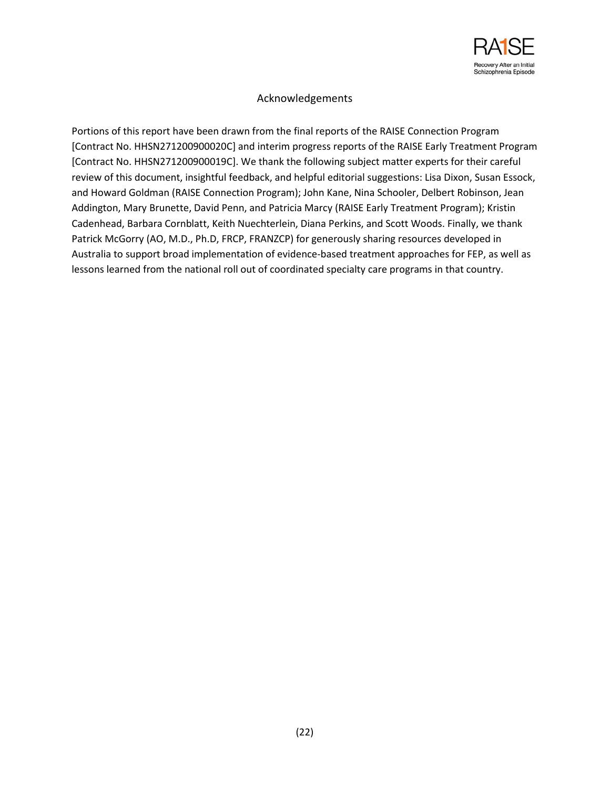

## Acknowledgements

Portions of this report have been drawn from the final reports of the RAISE Connection Program [Contract No. HHSN271200900020C] and interim progress reports of the RAISE Early Treatment Program [Contract No. HHSN271200900019C]. We thank the following subject matter experts for their careful review of this document, insightful feedback, and helpful editorial suggestions: Lisa Dixon, Susan Essock, and Howard Goldman (RAISE Connection Program); John Kane, Nina Schooler, Delbert Robinson, Jean Addington, Mary Brunette, David Penn, and Patricia Marcy (RAISE Early Treatment Program); Kristin Cadenhead, Barbara Cornblatt, Keith Nuechterlein, Diana Perkins, and Scott Woods. Finally, we thank Patrick McGorry (AO, M.D., Ph.D, FRCP, FRANZCP) for generously sharing resources developed in Australia to support broad implementation of evidence-based treatment approaches for FEP, as well as lessons learned from the national roll out of coordinated specialty care programs in that country.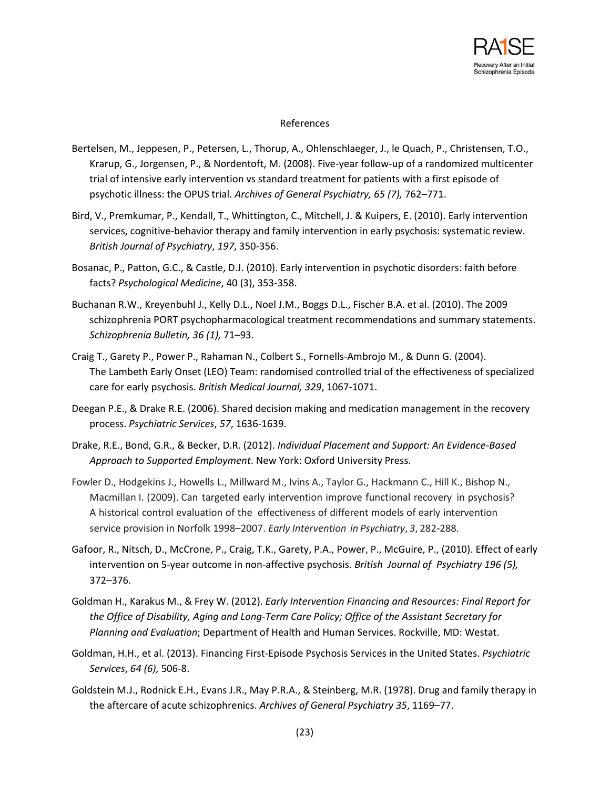

#### References

- Bertelsen, M., Jeppesen, P., Petersen, L., Thorup, A., Ohlenschlaeger, J., le Quach, P., Christensen, T.O., Krarup, G., Jorgensen, P., & Nordentoft, M. (2008). Five-year follow-up of a randomized multicenter trial of intensive early intervention vs standard treatment for patients with a first episode of psychotic illness: the OPUS trial. *Archives of General Psychiatry, 65 (7),* 762–771.
- Bird, V., Premkumar, P., Kendall, T., Whittington, C., Mitchell, J. & Kuipers, E. (2010). Early intervention services, cognitive-behavior therapy and family intervention in early psychosis: systematic review. *British Journal of Psychiatry*, *197*, 350-356.
- Bosanac, P., Patton, G.C., & Castle, D.J. (2010). Early intervention in psychotic disorders: faith before facts? *Psychological Medicine*, 40 (3), 353-358.
- Buchanan R.W., Kreyenbuhl J., Kelly D.L., Noel J.M., Boggs D.L., Fischer B.A. et al. (2010). The 2009 schizophrenia PORT psychopharmacological treatment recommendations and summary statements. *Schizophrenia Bulletin, 36 (1),* 71–93.
- Craig T., Garety P., Power P., Rahaman N., Colbert S., Fornells-Ambrojo M., & Dunn G. (2004). The Lambeth Early Onset (LEO) Team: randomised controlled trial of the effectiveness of specialized care for early psychosis. *British Medical Journal, 329*, 1067-1071.
- Deegan P.E., & Drake R.E. (2006). Shared decision making and medication management in the recovery process. *Psychiatric Services*, *57*, 1636-1639.
- Drake, R.E., Bond, G.R., & Becker, D.R. (2012). *Individual Placement and Support: An Evidence-Based Approach to Supported Employment*. New York: Oxford University Press.
- Fowler D., Hodgekins J., Howells L., Millward M., Ivins A., Taylor G., Hackmann C., Hill K., Bishop N., Macmillan I. (2009). Can targeted early intervention improve functional recovery in psychosis? A historical control evaluation of the effectiveness of different models of early intervention service provision in Norfolk 1998–2007. *Early Intervention in Psychiatry*, *3*, 282-288.
- Gafoor, R., Nitsch, D., McCrone, P., Craig, T.K., Garety, P.A., Power, P., McGuire, P., (2010). Effect of early intervention on 5-year outcome in non-affective psychosis. *British Journal of Psychiatry 196 (5),* 372–376.
- Goldman H., Karakus M., & Frey W. (2012). *Early Intervention Financing and Resources: Final Report for the Office of Disability, Aging and Long-Term Care Policy; Office of the Assistant Secretary for Planning and Evaluation*; Department of Health and Human Services. Rockville, MD: Westat.
- Goldman, H.H., et al. (2013). Financing First-Episode Psychosis Services in the United States. *Psychiatric Services*, *64 (6),* 506-8.
- Goldstein M.J., Rodnick E.H., Evans J.R., May P.R.A., & Steinberg, M.R. (1978). Drug and family therapy in the aftercare of acute schizophrenics. *Archives of General Psychiatry 35*, 1169–77.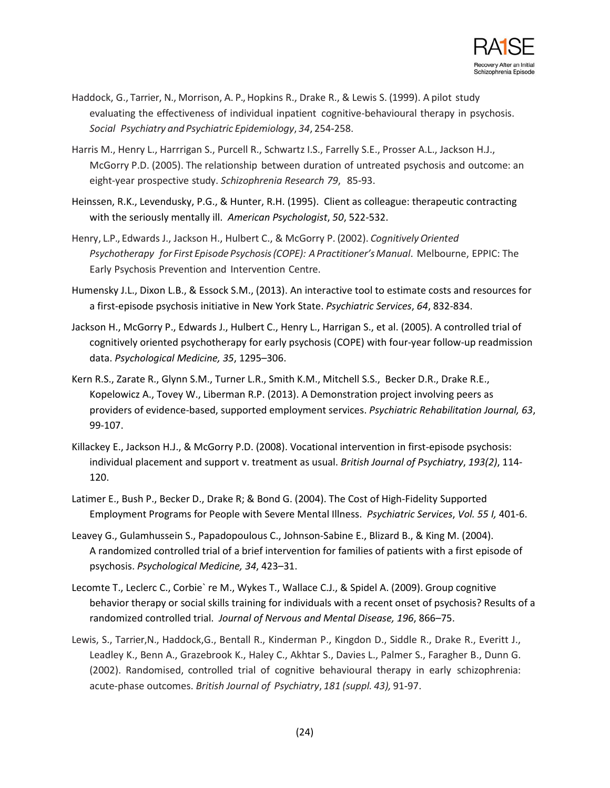

- Haddock, G., Tarrier, N., Morrison, A. P.,Hopkins R., Drake R., & Lewis S. (1999). A pilot study evaluating the effectiveness of individual inpatient cognitive-behavioural therapy in psychosis. *Social Psychiatry and Psychiatric Epidemiology*, *34*, 254-258.
- Harris M., Henry L., Harrrigan S., Purcell R., Schwartz I.S., Farrelly S.E., Prosser A.L., Jackson H.J., McGorry P.D. (2005). The relationship between duration of untreated psychosis and outcome: an eight-year prospective study. *Schizophrenia Research 79*, 85-93.
- Heinssen, R.K., Levendusky, P.G., & Hunter, R.H. (1995). Client as colleague: therapeutic contracting with the seriously mentally ill. *American Psychologist*, *50*, 522-532.
- Henry, L.P., Edwards J., Jackson H., Hulbert C., & McGorry P. (2002). *CognitivelyOriented Psychotherapy for First Episode Psychosis(COPE): APractitioner'sManual*. Melbourne, EPPIC: The Early Psychosis Prevention and Intervention Centre.
- Humensky J.L., Dixon L.B., & Essock S.M., (2013). An interactive tool to estimate costs and resources for a first-episode psychosis initiative in New York State. *Psychiatric Services*, *64*, 832-834.
- Jackson H., McGorry P., Edwards J., Hulbert C., Henry L., Harrigan S., et al. (2005). A controlled trial of cognitively oriented psychotherapy for early psychosis (COPE) with four-year follow-up readmission data. *Psychological Medicine, 35*, 1295–306.
- Kern R.S., Zarate R., Glynn S.M., Turner L.R., Smith K.M., Mitchell S.S., Becker D.R., Drake R.E., Kopelowicz A., Tovey W., Liberman R.P. (2013). A Demonstration project involving peers as providers of evidence-based, supported employment services. *Psychiatric Rehabilitation Journal, 63*, 99-107.
- Killackey E., Jackson H.J., & McGorry P.D. (2008). Vocational intervention in first-episode psychosis: individual placement and support v. treatment as usual. *British Journal of Psychiatry*, *193(2)*, 114- 120.
- Latimer E., Bush P., Becker D., Drake R; & Bond G. (2004). The Cost of High-Fidelity Supported Employment Programs for People with Severe Mental Illness. *Psychiatric Services*, *Vol. 55 I,* 401-6.
- Leavey G., Gulamhussein S., Papadopoulous C., Johnson-Sabine E., Blizard B., & King M. (2004). A randomized controlled trial of a brief intervention for families of patients with a first episode of psychosis. *Psychological Medicine, 34*, 423–31.
- Lecomte T., Leclerc C., Corbie` re M., Wykes T., Wallace C.J., & Spidel A. (2009). Group cognitive behavior therapy or social skills training for individuals with a recent onset of psychosis? Results of a randomized controlled trial. *Journal of Nervous and Mental Disease, 196*, 866–75.
- Lewis, S., Tarrier,N., Haddock,G., Bentall R., Kinderman P., Kingdon D., Siddle R., Drake R., Everitt J., Leadley K., Benn A., Grazebrook K., Haley C., Akhtar S., Davies L., Palmer S., Faragher B., Dunn G. (2002). Randomised, controlled trial of cognitive behavioural therapy in early schizophrenia: acute-phase outcomes. *British Journal of Psychiatry*, *181 (suppl. 43),* 91-97.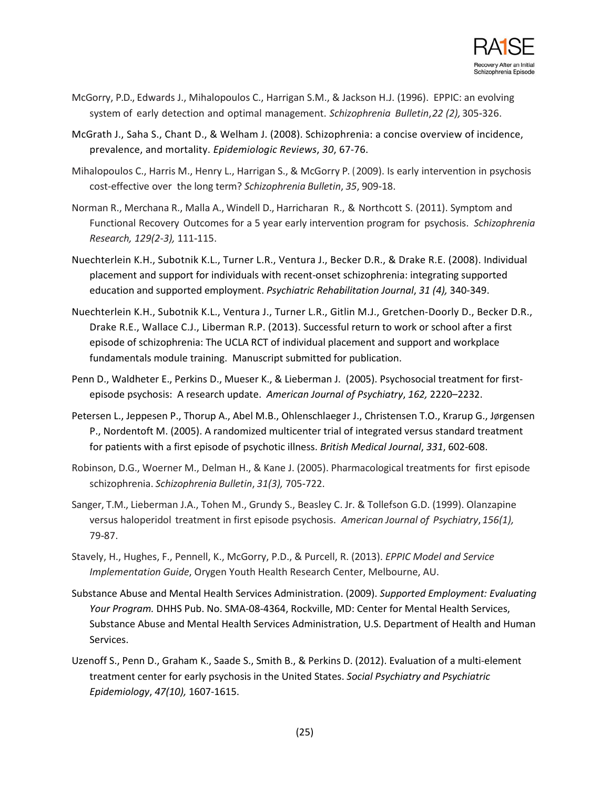

- McGorry, P.D., Edwards J., Mihalopoulos C., Harrigan S.M., & Jackson H.J. (1996). EPPIC: an evolving system of early detection and optimal management. *Schizophrenia Bulletin*, *22 (2),* 305-326.
- McGrath J., Saha S., Chant D., & Welham J. (2008). Schizophrenia: a concise overview of incidence, prevalence, and mortality. *Epidemiologic Reviews*, *30*, 67-76.
- Mihalopoulos C., Harris M., Henry L., Harrigan S., & McGorry P. (2009). Is early intervention in psychosis cost-effective over the long term? *Schizophrenia Bulletin*, *35*, 909-18.
- Norman R., Merchana R., Malla A., Windell D., Harricharan R., & Northcott S. (2011). Symptom and Functional Recovery Outcomes for a 5 year early intervention program for psychosis. *Schizophrenia Research, 129(2-3),* 111-115.
- Nuechterlein K.H., Subotnik K.L., Turner L.R., Ventura J., Becker D.R., & Drake R.E. (2008). Individual placement and support for individuals with recent-onset schizophrenia: integrating supported education and supported employment. *Psychiatric Rehabilitation Journal*, *31 (4),* 340-349.
- Nuechterlein K.H., Subotnik K.L., Ventura J., Turner L.R., Gitlin M.J., Gretchen-Doorly D., Becker D.R., Drake R.E., Wallace C.J., Liberman R.P. (2013). Successful return to work or school after a first episode of schizophrenia: The UCLA RCT of individual placement and support and workplace fundamentals module training. Manuscript submitted for publication.
- Penn D., Waldheter E., Perkins D., Mueser K., & Lieberman J. (2005). Psychosocial treatment for firstepisode psychosis: A research update. *American Journal of Psychiatry*, *162,* 2220–2232.
- Petersen L., Jeppesen P., Thorup A., Abel M.B., Ohlenschlaeger J., Christensen T.O., Krarup G., JØrgensen P., Nordentoft M. (2005). A randomized multicenter trial of integrated versus standard treatment for patients with a first episode of psychotic illness. *British Medical Journal*, *331*, 602-608.
- Robinson, D.G., Woerner M., Delman H., & Kane J. (2005). Pharmacological treatments for first episode schizophrenia. *Schizophrenia Bulletin*, *31(3),* 705-722.
- Sanger, T.M., Lieberman J.A., Tohen M., Grundy S., Beasley C. Jr. & Tollefson G.D. (1999). Olanzapine versus haloperidol treatment in first episode psychosis. *American Journal of Psychiatry*, *156(1),* 79-87.
- Stavely, H., Hughes, F., Pennell, K., McGorry, P.D., & Purcell, R. (2013). *EPPIC Model and Service Implementation Guide*, Orygen Youth Health Research Center, Melbourne, AU.
- Substance Abuse and Mental Health Services Administration. (2009). *Supported Employment: Evaluating Your Program.* DHHS Pub. No. SMA-08-4364, Rockville, MD: Center for Mental Health Services, Substance Abuse and Mental Health Services Administration, U.S. Department of Health and Human Services.
- Uzenoff S., Penn D., Graham K., Saade S., Smith B., & Perkins D. (2012). Evaluation of a multi-element treatment center for early psychosis in the United States. *Social Psychiatry and Psychiatric Epidemiology*, *47(10),* 1607-1615.